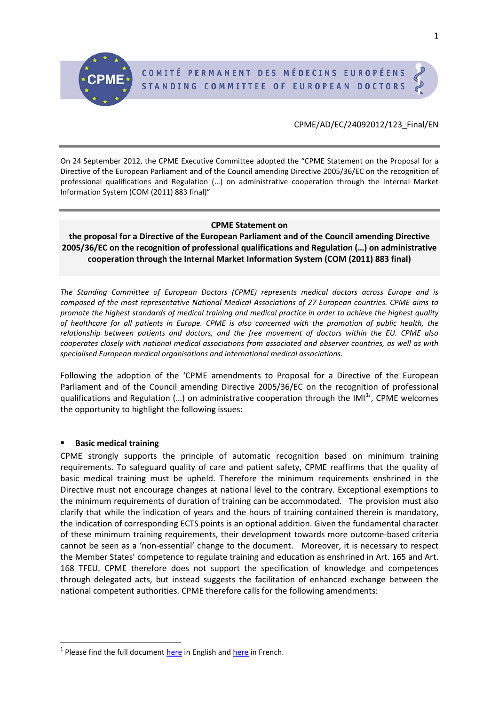## CPME/AD/EC/24092012/123\_Final/EN

On 24 September 2012, the CPME Executive Committee adopted the "CPME Statement on the Proposal for a Directive of the European Parliament and of the Council amending Directive 2005/36/EC on the recognition of professional qualifications and Regulation (…) on administrative cooperation through the Internal Market Information System (COM (2011) 883 final)"

## **CPME Statement on**

**the proposal for a Directive of the European Parliament and of the Council amending Directive 2005/36/EC on the recognition of professional qualifications and Regulation (…) on administrative cooperation through the Internal Market Information System (COM (2011) 883 final)**

*The Standing Committee of European Doctors (CPME) represents medical doctors across Europe and is composed of the most representative National Medical Associations of 27 European countries. CPME aims to promote the highest standards of medical training and medical practice in order to achieve the highest quality of healthcare for all patients in Europe. CPME is also concerned with the promotion of public health, the relationship between patients and doctors, and the free movement of doctors within the EU. CPME also cooperates closely with national medical associations from associated and observer countries, as well as with specialised European medical organisations and international medical associations.*

Following the adoption of the 'CPME amendments to Proposal for a Directive of the European Parliament and of the Council amending Directive 2005/36/EC on the recognition of professional qualifications and Regulation  $(...)$  on administrative cooperation through the IMI<sup>[1](#page-0-0)</sup>', CPME welcomes the opportunity to highlight the following issues:

## **Basic medical training**

CPME strongly supports the principle of automatic recognition based on minimum training requirements. To safeguard quality of care and patient safety, CPME reaffirms that the quality of basic medical training must be upheld. Therefore the minimum requirements enshrined in the Directive must not encourage changes at national level to the contrary. Exceptional exemptions to the minimum requirements of duration of training can be accommodated. The provision must also clarify that while the indication of years and the hours of training contained therein is mandatory, the indication of corresponding ECTS points is an optional addition. Given the fundamental character of these minimum training requirements, their development towards more outcome-based criteria cannot be seen as a 'non-essential' change to the document. Moreover, it is necessary to respect the Member States' competence to regulate training and education as enshrined in Art. 165 and Art. 168 TFEU. CPME therefore does not support the specification of knowledge and competences through delegated acts, but instead suggests the facilitation of enhanced exchange between the national competent authorities. CPME therefore calls for the following amendments:

<span id="page-0-0"></span> $1$  Please find the full document [here](http://cpme.dyndns.org:591/adopted/2012/CPME_AD_EC_27032012_009_Final_FR_CORR.pdf) in English and here in French.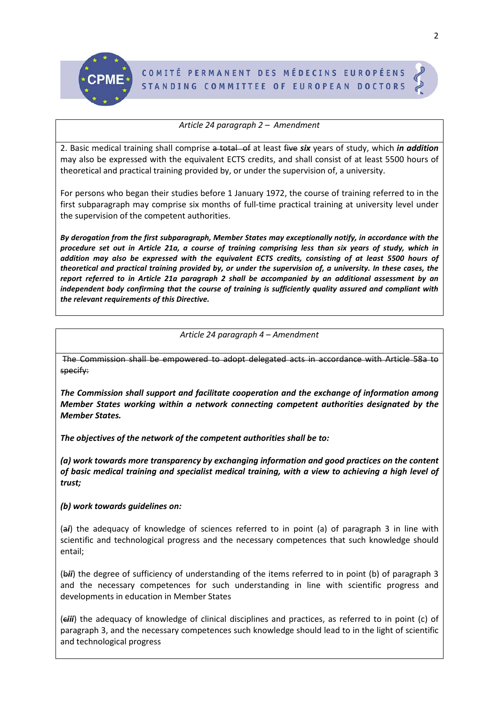

## *Article 24 paragraph 2 – Amendment*

2. Basic medical training shall comprise a total of at least five *six* years of study, which *in addition* may also be expressed with the equivalent ECTS credits, and shall consist of at least 5500 hours of theoretical and practical training provided by, or under the supervision of, a university.

For persons who began their studies before 1 January 1972, the course of training referred to in the first subparagraph may comprise six months of full-time practical training at university level under the supervision of the competent authorities.

*By derogation from the first subparagraph, Member States may exceptionally notify, in accordance with the procedure set out in Article 21a, a course of training comprising less than six years of study, which in addition may also be expressed with the equivalent ECTS credits, consisting of at least 5500 hours of theoretical and practical training provided by, or under the supervision of, a university. In these cases, the report referred to in Article 21a paragraph 2 shall be accompanied by an additional assessment by an independent body confirming that the course of training is sufficiently quality assured and compliant with the relevant requirements of this Directive.* 

## *Article 24 paragraph 4 – Amendment*

The Commission shall be empowered to adopt delegated acts in accordance with Article 58a to specify:

*The Commission shall support and facilitate cooperation and the exchange of information among Member States working within a network connecting competent authorities designated by the Member States.* 

*The objectives of the network of the competent authorities shall be to:* 

*(a) work towards more transparency by exchanging information and good practices on the content of basic medical training and specialist medical training, with a view to achieving a high level of trust;* 

## *(b) work towards guidelines on:*

(a*i*) the adequacy of knowledge of sciences referred to in point (a) of paragraph 3 in line with scientific and technological progress and the necessary competences that such knowledge should entail;

(b*ii*) the degree of sufficiency of understanding of the items referred to in point (b) of paragraph 3 and the necessary competences for such understanding in line with scientific progress and developments in education in Member States

(c*iii*) the adequacy of knowledge of clinical disciplines and practices, as referred to in point (c) of paragraph 3, and the necessary competences such knowledge should lead to in the light of scientific and technological progress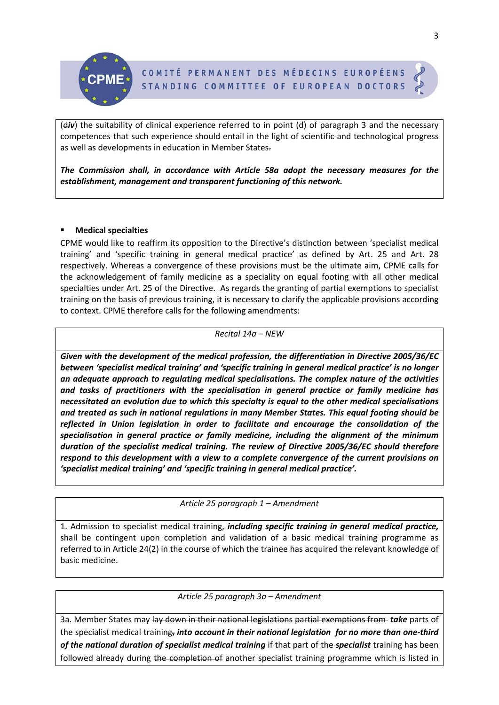(div) the suitability of clinical experience referred to in point (d) of paragraph 3 and the necessary competences that such experience should entail in the light of scientific and technological progress as well as developments in education in Member States.

*The Commission shall, in accordance with Article 58a adopt the necessary measures for the establishment, management and transparent functioning of this network.*

# **Medical specialties**

CPME would like to reaffirm its opposition to the Directive's distinction between 'specialist medical training' and 'specific training in general medical practice' as defined by Art. 25 and Art. 28 respectively. Whereas a convergence of these provisions must be the ultimate aim, CPME calls for the acknowledgement of family medicine as a speciality on equal footing with all other medical specialties under Art. 25 of the Directive. As regards the granting of partial exemptions to specialist training on the basis of previous training, it is necessary to clarify the applicable provisions according to context. CPME therefore calls for the following amendments:

## *Recital 14a – NEW*

*Given with the development of the medical profession, the differentiation in Directive 2005/36/EC between 'specialist medical training' and 'specific training in general medical practice' is no longer an adequate approach to regulating medical specialisations. The complex nature of the activities and tasks of practitioners with the specialisation in general practice or family medicine has necessitated an evolution due to which this specialty is equal to the other medical specialisations and treated as such in national regulations in many Member States. This equal footing should be reflected in Union legislation in order to facilitate and encourage the consolidation of the specialisation in general practice or family medicine, including the alignment of the minimum duration of the specialist medical training. The review of Directive 2005/36/EC should therefore respond to this development with a view to a complete convergence of the current provisions on 'specialist medical training' and 'specific training in general medical practice'.* 

# *Article 25 paragraph 1 – Amendment*

1. Admission to specialist medical training, *including specific training in general medical practice,* shall be contingent upon completion and validation of a basic medical training programme as referred to in Article 24(2) in the course of which the trainee has acquired the relevant knowledge of basic medicine.

# *Article 25 paragraph 3a – Amendment*

3a. Member States may lay down in their national legislations partial exemptions from *take* parts of the specialist medical training, *into account in their national legislation for no more than one-third of the national duration of specialist medical training* if that part of the *specialist* training has been followed already during the completion of another specialist training programme which is listed in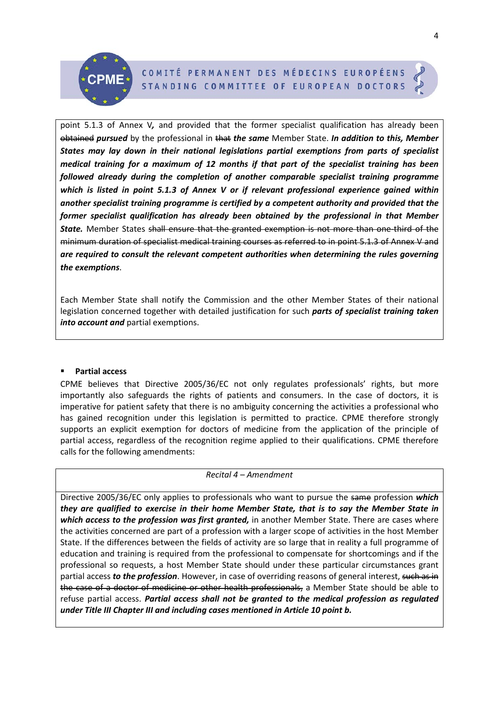point 5.1.3 of Annex V*,* and provided that the former specialist qualification has already been obtained *pursued* by the professional in that *the same* Member State. *In addition to this, Member States may lay down in their national legislations partial exemptions from parts of specialist medical training for a maximum of 12 months if that part of the specialist training has been followed already during the completion of another comparable specialist training programme which is listed in point 5.1.3 of Annex V or if relevant professional experience gained within another specialist training programme is certified by a competent authority and provided that the former specialist qualification has already been obtained by the professional in that Member State.* Member States shall ensure that the granted exemption is not more than one-third of the minimum duration of specialist medical training courses as referred to in point 5.1.3 of Annex V and *are required to consult the relevant competent authorities when determining the rules governing the exemptions*.

Each Member State shall notify the Commission and the other Member States of their national legislation concerned together with detailed justification for such *parts of specialist training taken into account and* partial exemptions.

## **Partial access**

CPME believes that Directive 2005/36/EC not only regulates professionals' rights, but more importantly also safeguards the rights of patients and consumers. In the case of doctors, it is imperative for patient safety that there is no ambiguity concerning the activities a professional who has gained recognition under this legislation is permitted to practice. CPME therefore strongly supports an explicit exemption for doctors of medicine from the application of the principle of partial access, regardless of the recognition regime applied to their qualifications. CPME therefore calls for the following amendments:

*Recital 4 – Amendment*

Directive 2005/36/EC only applies to professionals who want to pursue the same profession *which they are qualified to exercise in their home Member State, that is to say the Member State in which access to the profession was first granted,* in another Member State. There are cases where the activities concerned are part of a profession with a larger scope of activities in the host Member State. If the differences between the fields of activity are so large that in reality a full programme of education and training is required from the professional to compensate for shortcomings and if the professional so requests, a host Member State should under these particular circumstances grant partial access *to the profession*. However, in case of overriding reasons of general interest, such as in the case of a doctor of medicine or other health professionals, a Member State should be able to refuse partial access. *Partial access shall not be granted to the medical profession as regulated under Title III Chapter III and including cases mentioned in Article 10 point b.*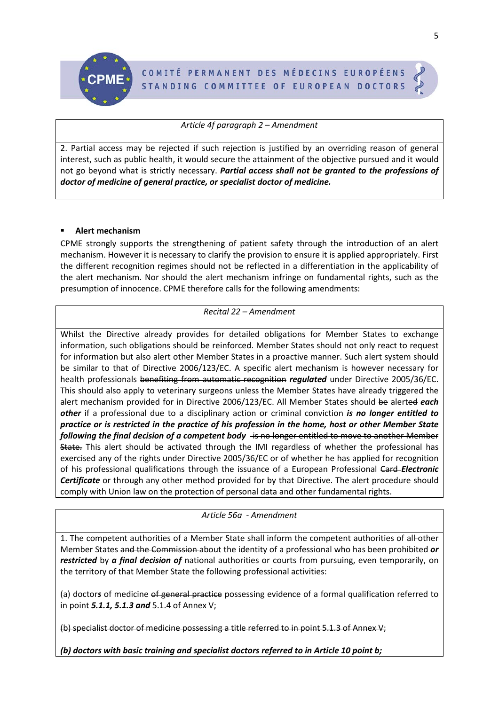

*Article 4f paragraph 2 – Amendment*

2. Partial access may be rejected if such rejection is justified by an overriding reason of general interest, such as public health, it would secure the attainment of the objective pursued and it would not go beyond what is strictly necessary. *Partial access shall not be granted to the professions of doctor of medicine of general practice, or specialist doctor of medicine.* 

# **Alert mechanism**

CPME strongly supports the strengthening of patient safety through the introduction of an alert mechanism. However it is necessary to clarify the provision to ensure it is applied appropriately. First the different recognition regimes should not be reflected in a differentiation in the applicability of the alert mechanism. Nor should the alert mechanism infringe on fundamental rights, such as the presumption of innocence. CPME therefore calls for the following amendments:

## *Recital 22 – Amendment*

Whilst the Directive already provides for detailed obligations for Member States to exchange information, such obligations should be reinforced. Member States should not only react to request for information but also alert other Member States in a proactive manner. Such alert system should be similar to that of Directive 2006/123/EC. A specific alert mechanism is however necessary for health professionals benefiting from automatic recognition *regulated* under Directive 2005/36/EC. This should also apply to veterinary surgeons unless the Member States have already triggered the alert mechanism provided for in Directive 2006/123/EC. All Member States should be alerted *each other* if a professional due to a disciplinary action or criminal conviction *is no longer entitled to practice or is restricted in the practice of his profession in the home, host or other Member State following the final decision of a competent body* is no longer entitled to move to another Member State. This alert should be activated through the IMI regardless of whether the professional has exercised any of the rights under Directive 2005/36/EC or of whether he has applied for recognition of his professional qualifications through the issuance of a European Professional Card *Electronic Certificate* or through any other method provided for by that Directive. The alert procedure should comply with Union law on the protection of personal data and other fundamental rights.

# *Article 56a - Amendment*

1. The competent authorities of a Member State shall inform the competent authorities of all other Member States and the Commission about the identity of a professional who has been prohibited *or restricted* by *a final decision of* national authorities or courts from pursuing, even temporarily, on the territory of that Member State the following professional activities:

(a) doctor*s* of medicine of general practice possessing evidence of a formal qualification referred to in point *5.1.1, 5.1.3 and* 5.1.4 of Annex V;

(b) specialist doctor of medicine possessing a title referred to in point 5.1.3 of Annex V;

*(b) doctors with basic training and specialist doctors referred to in Article 10 point b;*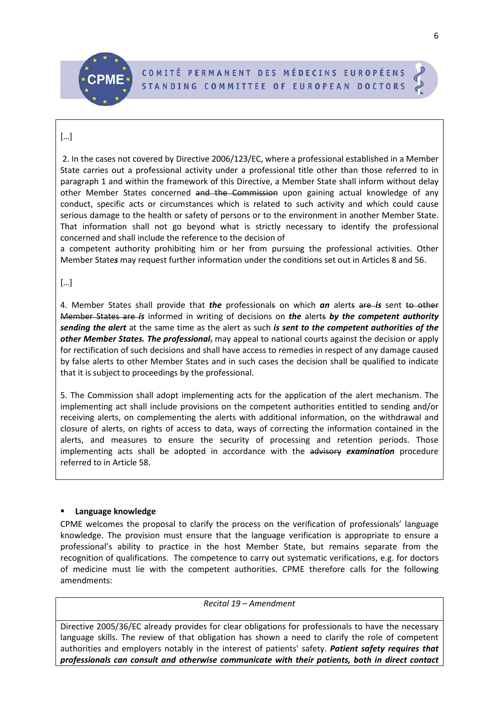# […]

2. In the cases not covered by Directive 2006/123/EC, where a professional established in a Member State carries out a professional activity under a professional title other than those referred to in paragraph 1 and within the framework of this Directive, a Member State shall inform without delay other Member States concerned and the Commission upon gaining actual knowledge of any conduct, specific acts or circumstances which is related to such activity and which could cause serious damage to the health or safety of persons or to the environment in another Member State. That information shall not go beyond what is strictly necessary to identify the professional concerned and shall include the reference to the decision of

a competent authority prohibiting him or her from pursuing the professional activities. Other Member State*s* may request further information under the conditions set out in Articles 8 and 56.

[…]

4. Member States shall provide that *the* professionals on which *an* alerts are *is* sent to other Member States are *is* informed in writing of decisions on *the* alerts *by the competent authority sending the alert* at the same time as the alert as such *is sent to the competent authorities of the other Member States. The professional*, may appeal to national courts against the decision or apply for rectification of such decisions and shall have access to remedies in respect of any damage caused by false alerts to other Member States and in such cases the decision shall be qualified to indicate that it is subject to proceedings by the professional.

5. The Commission shall adopt implementing acts for the application of the alert mechanism. The implementing act shall include provisions on the competent authorities entitled to sending and/or receiving alerts, on complementing the alerts with additional information, on the withdrawal and closure of alerts, on rights of access to data, ways of correcting the information contained in the alerts, and measures to ensure the security of processing and retention periods. Those implementing acts shall be adopted in accordance with the advisory *examination* procedure referred to in Article 58.

# **Language knowledge**

CPME welcomes the proposal to clarify the process on the verification of professionals' language knowledge. The provision must ensure that the language verification is appropriate to ensure a professional's ability to practice in the host Member State, but remains separate from the recognition of qualifications. The competence to carry out systematic verifications, e.g. for doctors of medicine must lie with the competent authorities. CPME therefore calls for the following amendments:

*Recital 19 – Amendment*

Directive 2005/36/EC already provides for clear obligations for professionals to have the necessary language skills. The review of that obligation has shown a need to clarify the role of competent authorities and employers notably in the interest of patients' safety. *Patient safety requires that professionals can consult and otherwise communicate with their patients, both in direct contact*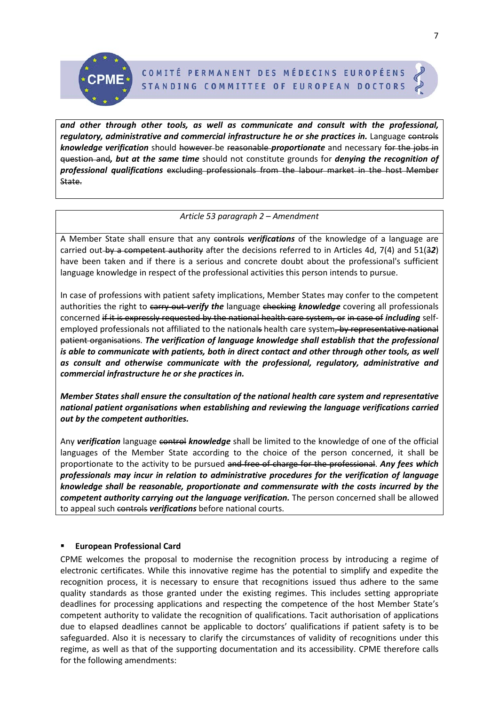*and other through other tools, as well as communicate and consult with the professional, regulatory, administrative and commercial infrastructure he or she practices in.* Language controls *knowledge verification* should however be reasonable *proportionate* and necessary for the jobs in question and*, but at the same time* should not constitute grounds for *denying the recognition of professional qualifications* excluding professionals from the labour market in the host Member State.

## *Article 53 paragraph 2 – Amendment*

A Member State shall ensure that any controls *verifications* of the knowledge of a language are carried out by a competent authority after the decisions referred to in Articles 4d, 7(4) and 51(3*2*) have been taken and if there is a serious and concrete doubt about the professional's sufficient language knowledge in respect of the professional activities this person intends to pursue.

In case of professions with patient safety implications, Member States may confer to the competent authorities the right to carry out-verify the language checking knowledge covering all professionals concerned if it is expressly requested by the national health care system, or in case of *including* selfemployed professionals not affiliated to the nationals health care system, by representative national patient organisations. *The verification of language knowledge shall establish that the professional is able to communicate with patients, both in direct contact and other through other tools, as well as consult and otherwise communicate with the professional, regulatory, administrative and commercial infrastructure he or she practices in.*

*Member States shall ensure the consultation of the national health care system and representative national patient organisations when establishing and reviewing the language verifications carried out by the competent authorities.* 

Any *verification* language control *knowledge* shall be limited to the knowledge of one of the official languages of the Member State according to the choice of the person concerned, it shall be proportionate to the activity to be pursued and free of charge for the professional. *Any fees which professionals may incur in relation to administrative procedures for the verification of language knowledge shall be reasonable, proportionate and commensurate with the costs incurred by the competent authority carrying out the language verification.* The person concerned shall be allowed to appeal such controls *verifications* before national courts.

## **European Professional Card**

CPME welcomes the proposal to modernise the recognition process by introducing a regime of electronic certificates. While this innovative regime has the potential to simplify and expedite the recognition process, it is necessary to ensure that recognitions issued thus adhere to the same quality standards as those granted under the existing regimes. This includes setting appropriate deadlines for processing applications and respecting the competence of the host Member State's competent authority to validate the recognition of qualifications. Tacit authorisation of applications due to elapsed deadlines cannot be applicable to doctors' qualifications if patient safety is to be safeguarded. Also it is necessary to clarify the circumstances of validity of recognitions under this regime, as well as that of the supporting documentation and its accessibility. CPME therefore calls for the following amendments: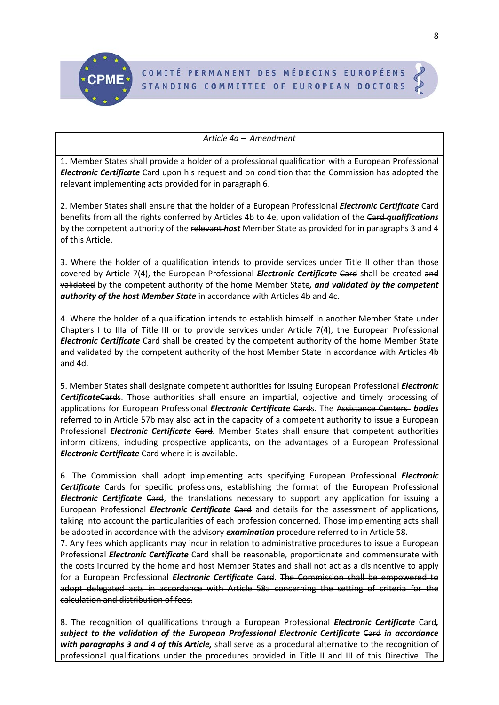

## *Article 4a – Amendment*

1. Member States shall provide a holder of a professional qualification with a European Professional *Electronic Certificate Card-upon his request and on condition that the Commission has adopted the* relevant implementing acts provided for in paragraph 6.

2. Member States shall ensure that the holder of a European Professional *Electronic Certificate* Card benefits from all the rights conferred by Articles 4b to 4e, upon validation of the Card *qualifications* by the competent authority of the relevant *host* Member State as provided for in paragraphs 3 and 4 of this Article.

3. Where the holder of a qualification intends to provide services under Title II other than those covered by Article 7(4), the European Professional *Electronic Certificate* Card shall be created and validated by the competent authority of the home Member State*, and validated by the competent authority of the host Member State* in accordance with Articles 4b and 4c.

4. Where the holder of a qualification intends to establish himself in another Member State under Chapters I to IIIa of Title III or to provide services under Article 7(4), the European Professional *Electronic Certificate* Card shall be created by the competent authority of the home Member State and validated by the competent authority of the host Member State in accordance with Articles 4b and 4d.

5. Member States shall designate competent authorities for issuing European Professional *Electronic Certificate*Cards. Those authorities shall ensure an impartial, objective and timely processing of applications for European Professional *Electronic Certificate* Cards. The Assistance Centers *bodies* referred to in Article 57b may also act in the capacity of a competent authority to issue a European Professional *Electronic Certificate Card*. Member States shall ensure that competent authorities inform citizens, including prospective applicants, on the advantages of a European Professional *Electronic Certificate Card where it is available.* 

6. The Commission shall adopt implementing acts specifying European Professional *Electronic Certificate* Cards for specific professions, establishing the format of the European Professional *Electronic Certificate* Card, the translations necessary to support any application for issuing a European Professional *Electronic Certificate* Card and details for the assessment of applications, taking into account the particularities of each profession concerned. Those implementing acts shall be adopted in accordance with the advisory *examination* procedure referred to in Article 58.

7. Any fees which applicants may incur in relation to administrative procedures to issue a European Professional *Electronic Certificate* Card shall be reasonable, proportionate and commensurate with the costs incurred by the home and host Member States and shall not act as a disincentive to apply for a European Professional *Electronic Certificate* Card. The Commission shall be empowered to adopt delegated acts in accordance with Article 58a concerning the setting of criteria for the calculation and distribution of fees.

8. The recognition of qualifications through a European Professional *Electronic Certificate* Card*, subject to the validation of the European Professional Electronic Certificate Gard in accordance with paragraphs 3 and 4 of this Article,* shall serve as a procedural alternative to the recognition of professional qualifications under the procedures provided in Title II and III of this Directive. The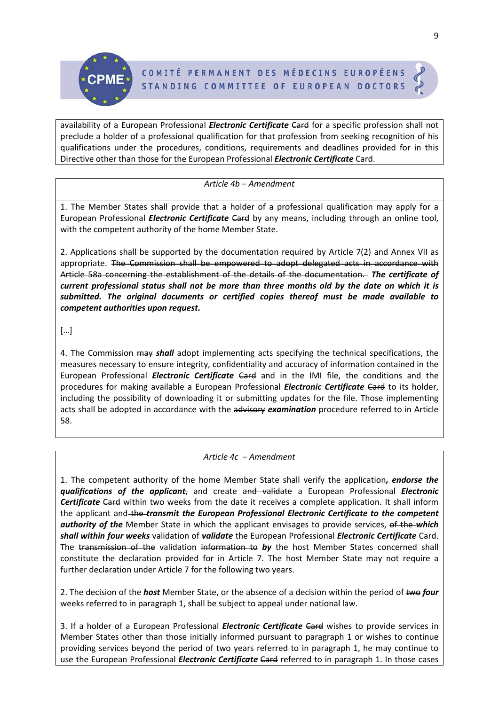

availability of a European Professional *Electronic Certificate Card* for a specific profession shall not preclude a holder of a professional qualification for that profession from seeking recognition of his qualifications under the procedures, conditions, requirements and deadlines provided for in this Directive other than those for the European Professional *Electronic Certificate* Card.

*Article 4b – Amendment*

1. The Member States shall provide that a holder of a professional qualification may apply for a European Professional *Electronic Certificate* Card by any means, including through an online tool, with the competent authority of the home Member State.

2. Applications shall be supported by the documentation required by Article 7(2) and Annex VII as appropriate. The Commission shall be empowered to adopt delegated acts in accordance with Article 58a concerning the establishment of the details of the documentation. *The certificate of current professional status shall not be more than three months old by the date on which it is submitted. The original documents or certified copies thereof must be made available to competent authorities upon request.* 

[…]

4. The Commission may *shall* adopt implementing acts specifying the technical specifications, the measures necessary to ensure integrity, confidentiality and accuracy of information contained in the European Professional *Electronic Certificate* Card and in the IMI file, the conditions and the procedures for making available a European Professional *Electronic Certificate* Card to its holder, including the possibility of downloading it or submitting updates for the file. Those implementing acts shall be adopted in accordance with the advisory *examination* procedure referred to in Article 58.

# *Article 4c – Amendment*

1. The competent authority of the home Member State shall verify the application*, endorse the qualifications of the applicant*, and create and validate a European Professional *Electronic*  **Certificate Card** within two weeks from the date it receives a complete application. It shall inform the applicant and the *transmit the European Professional Electronic Certificate to the competent authority of the* Member State in which the applicant envisages to provide services, of the *which shall within four weeks* validation of *validate* the European Professional *Electronic Certificate* Card. The transmission of the validation information to *by* the host Member States concerned shall constitute the declaration provided for in Article 7. The host Member State may not require a further declaration under Article 7 for the following two years.

2. The decision of the *host* Member State, or the absence of a decision within the period of two *four* weeks referred to in paragraph 1, shall be subject to appeal under national law.

3. If a holder of a European Professional *Electronic Certificate* Card wishes to provide services in Member States other than those initially informed pursuant to paragraph 1 or wishes to continue providing services beyond the period of two years referred to in paragraph 1, he may continue to use the European Professional *Electronic Certificate* Card referred to in paragraph 1. In those cases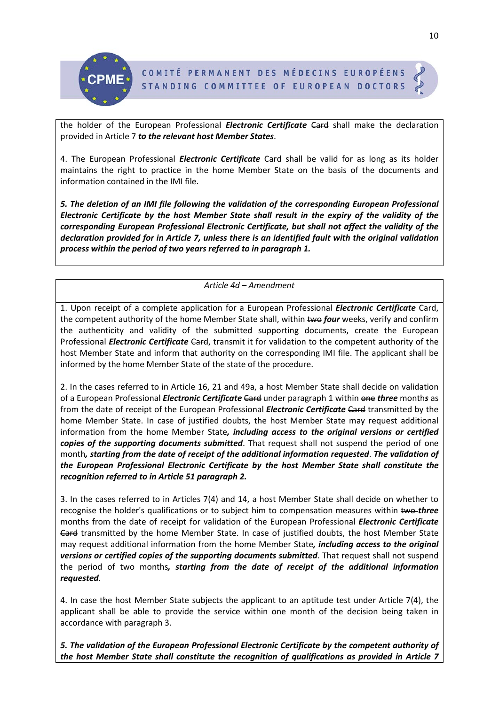

the holder of the European Professional *Electronic Certificate* Card shall make the declaration provided in Article 7 *to the relevant host Member States*.

4. The European Professional *Electronic Certificate* Card shall be valid for as long as its holder maintains the right to practice in the home Member State on the basis of the documents and information contained in the IMI file.

*5. The deletion of an IMI file following the validation of the corresponding European Professional Electronic Certificate by the host Member State shall result in the expiry of the validity of the corresponding European Professional Electronic Certificate, but shall not affect the validity of the declaration provided for in Article 7, unless there is an identified fault with the original validation process within the period of two years referred to in paragraph 1.*

*Article 4d – Amendment*

1. Upon receipt of a complete application for a European Professional *Electronic Certificate* Card, the competent authority of the home Member State shall, within two *four* weeks, verify and confirm the authenticity and validity of the submitted supporting documents, create the European Professional *Electronic Certificate Gard*, transmit it for validation to the competent authority of the host Member State and inform that authority on the corresponding IMI file. The applicant shall be informed by the home Member State of the state of the procedure.

2. In the cases referred to in Article 16, 21 and 49a, a host Member State shall decide on validation of a European Professional *Electronic Certificate* Card under paragraph 1 within one *three* month*s* as from the date of receipt of the European Professional *Electronic Certificate* Card transmitted by the home Member State. In case of justified doubts, the host Member State may request additional information from the home Member State*, including access to the original versions or certified copies of the supporting documents submitted*. That request shall not suspend the period of one month*, starting from the date of receipt of the additional information requested*. *The validation of the European Professional Electronic Certificate by the host Member State shall constitute the recognition referred to in Article 51 paragraph 2.*

3. In the cases referred to in Articles 7(4) and 14, a host Member State shall decide on whether to recognise the holder's qualifications or to subject him to compensation measures within two-three months from the date of receipt for validation of the European Professional *Electronic Certificate*  Gard transmitted by the home Member State. In case of justified doubts, the host Member State may request additional information from the home Member State*, including access to the original versions or certified copies of the supporting documents submitted*. That request shall not suspend the period of two months*, starting from the date of receipt of the additional information requested*.

4. In case the host Member State subjects the applicant to an aptitude test under Article 7(4), the applicant shall be able to provide the service within one month of the decision being taken in accordance with paragraph 3.

*5. The validation of the European Professional Electronic Certificate by the competent authority of the host Member State shall constitute the recognition of qualifications as provided in Article 7*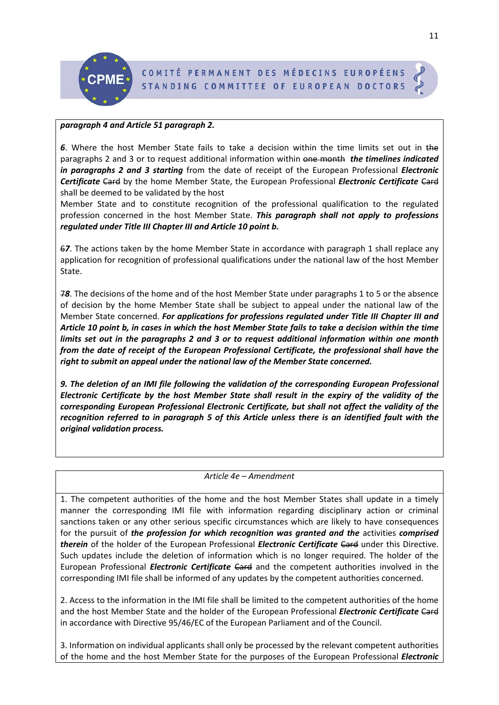

## *paragraph 4 and Article 51 paragraph 2.*

*6*. Where the host Member State fails to take a decision within the time limits set out in the paragraphs 2 and 3 or to request additional information within one month *the timelines indicated in paragraphs 2 and 3 starting* from the date of receipt of the European Professional *Electronic Certificate* Card by the home Member State, the European Professional *Electronic Certificate* Card shall be deemed to be validated by the host

Member State and to constitute recognition of the professional qualification to the regulated profession concerned in the host Member State. *This paragraph shall not apply to professions regulated under Title III Chapter III and Article 10 point b.* 

6*7*. The actions taken by the home Member State in accordance with paragraph 1 shall replace any application for recognition of professional qualifications under the national law of the host Member State.

7*8*. The decisions of the home and of the host Member State under paragraphs 1 to 5 or the absence of decision by the home Member State shall be subject to appeal under the national law of the Member State concerned. *For applications for professions regulated under Title III Chapter III and Article 10 point b, in cases in which the host Member State fails to take a decision within the time limits set out in the paragraphs 2 and 3 or to request additional information within one month from the date of receipt of the European Professional Certificate, the professional shall have the right to submit an appeal under the national law of the Member State concerned.*

*9. The deletion of an IMI file following the validation of the corresponding European Professional Electronic Certificate by the host Member State shall result in the expiry of the validity of the corresponding European Professional Electronic Certificate, but shall not affect the validity of the recognition referred to in paragraph 5 of this Article unless there is an identified fault with the original validation process.*

## *Article 4e – Amendment*

1. The competent authorities of the home and the host Member States shall update in a timely manner the corresponding IMI file with information regarding disciplinary action or criminal sanctions taken or any other serious specific circumstances which are likely to have consequences for the pursuit of *the profession for which recognition was granted and the activities comprised therein* of the holder of the European Professional *Electronic Certificate* Card under this Directive. Such updates include the deletion of information which is no longer required. The holder of the European Professional *Electronic Certificate* Card and the competent authorities involved in the corresponding IMI file shall be informed of any updates by the competent authorities concerned.

2. Access to the information in the IMI file shall be limited to the competent authorities of the home and the host Member State and the holder of the European Professional *Electronic Certificate Card* in accordance with Directive 95/46/EC of the European Parliament and of the Council.

3. Information on individual applicants shall only be processed by the relevant competent authorities of the home and the host Member State for the purposes of the European Professional *Electronic*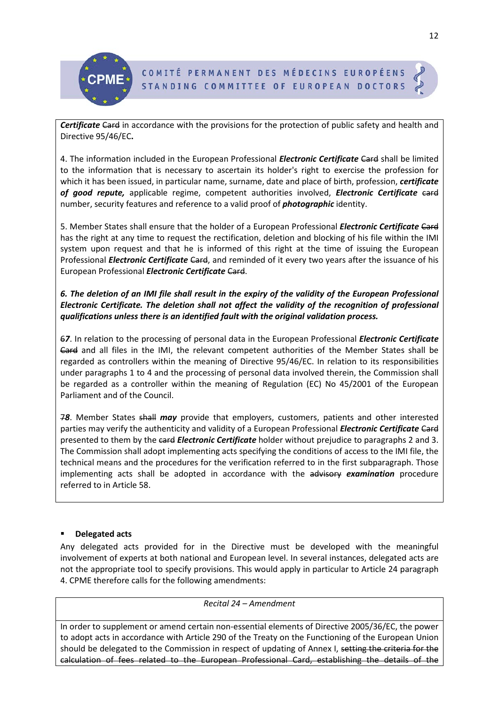

**Certificate Card in accordance with the provisions for the protection of public safety and health and** Directive 95/46/EC**.**

4. The information included in the European Professional *Electronic Certificate* Card shall be limited to the information that is necessary to ascertain its holder's right to exercise the profession for which it has been issued, in particular name, surname, date and place of birth, profession, *certificate of good repute,* applicable regime, competent authorities involved, *Electronic Certificate* card number, security features and reference to a valid proof of *photographic* identity.

5. Member States shall ensure that the holder of a European Professional *Electronic Certificate* Card has the right at any time to request the rectification, deletion and blocking of his file within the IMI system upon request and that he is informed of this right at the time of issuing the European Professional *Electronic Certificate Card*, and reminded of it every two years after the issuance of his European Professional *Electronic Certificate* Card.

# *6. The deletion of an IMI file shall result in the expiry of the validity of the European Professional Electronic Certificate. The deletion shall not affect the validity of the recognition of professional qualifications unless there is an identified fault with the original validation process.*

6*7*. In relation to the processing of personal data in the European Professional *Electronic Certificate*  Card and all files in the IMI, the relevant competent authorities of the Member States shall be regarded as controllers within the meaning of Directive 95/46/EC. In relation to its responsibilities under paragraphs 1 to 4 and the processing of personal data involved therein, the Commission shall be regarded as a controller within the meaning of Regulation (EC) No 45/2001 of the European Parliament and of the Council.

7*8*. Member States shall *may* provide that employers, customers, patients and other interested parties may verify the authenticity and validity of a European Professional *Electronic Certificate Gard* presented to them by the card *Electronic Certificate* holder without prejudice to paragraphs 2 and 3. The Commission shall adopt implementing acts specifying the conditions of access to the IMI file, the technical means and the procedures for the verification referred to in the first subparagraph. Those implementing acts shall be adopted in accordance with the advisory *examination* procedure referred to in Article 58.

# **Delegated acts**

Any delegated acts provided for in the Directive must be developed with the meaningful involvement of experts at both national and European level. In several instances, delegated acts are not the appropriate tool to specify provisions. This would apply in particular to Article 24 paragraph 4. CPME therefore calls for the following amendments:

*Recital 24 – Amendment*

In order to supplement or amend certain non-essential elements of Directive 2005/36/EC, the power to adopt acts in accordance with Article 290 of the Treaty on the Functioning of the European Union should be delegated to the Commission in respect of updating of Annex I, setting the criteria for the calculation of fees related to the European Professional Card, establishing the details of the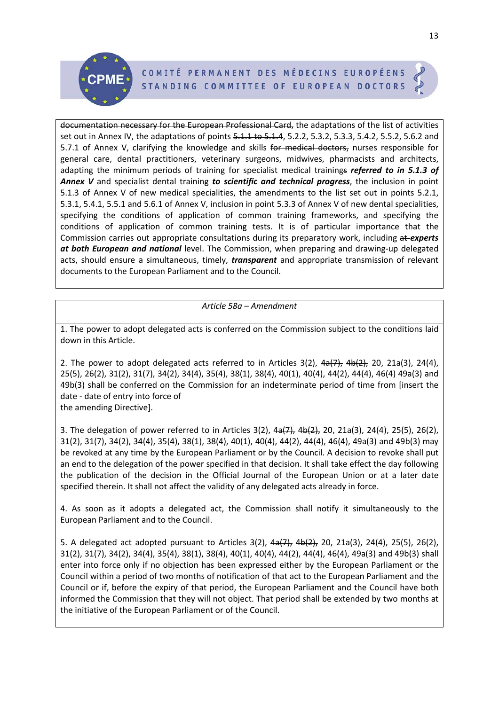documentation necessary for the European Professional Card, the adaptations of the list of activities set out in Annex IV, the adaptations of points 5.1.1 to 5.1.4, 5.2.2, 5.3.2, 5.3.3, 5.4.2, 5.5.2, 5.6.2 and 5.7.1 of Annex V, clarifying the knowledge and skills for medical doctors, nurses responsible for general care, dental practitioners, veterinary surgeons, midwives, pharmacists and architects, adapting the minimum periods of training for specialist medical trainings *referred to in 5.1.3 of Annex V* and specialist dental training *to scientific and technical progress*, the inclusion in point 5.1.3 of Annex V of new medical specialities, the amendments to the list set out in points 5.2.1, 5.3.1, 5.4.1, 5.5.1 and 5.6.1 of Annex V, inclusion in point 5.3.3 of Annex V of new dental specialities, specifying the conditions of application of common training frameworks, and specifying the conditions of application of common training tests. It is of particular importance that the Commission carries out appropriate consultations during its preparatory work, including at *experts at both European and national* level. The Commission, when preparing and drawing-up delegated acts, should ensure a simultaneous, timely, *transparent* and appropriate transmission of relevant documents to the European Parliament and to the Council.

# *Article 58a – Amendment*

1. The power to adopt delegated acts is conferred on the Commission subject to the conditions laid down in this Article.

2. The power to adopt delegated acts referred to in Articles  $3(2)$ ,  $4\frac{1}{2}$ ,  $4\frac{1}{2}$ , 20, 21a(3), 24(4), 25(5), 26(2), 31(2), 31(7), 34(2), 34(4), 35(4), 38(1), 38(4), 40(1), 40(4), 44(2), 44(4), 46(4) 49a(3) and 49b(3) shall be conferred on the Commission for an indeterminate period of time from [insert the date - date of entry into force of the amending Directive].

3. The delegation of power referred to in Articles 3(2),  $4a(7)$ ,  $4b(2)$ , 20, 21a(3), 24(4), 25(5), 26(2), 31(2), 31(7), 34(2), 34(4), 35(4), 38(1), 38(4), 40(1), 40(4), 44(2), 44(4), 46(4), 49a(3) and 49b(3) may be revoked at any time by the European Parliament or by the Council. A decision to revoke shall put an end to the delegation of the power specified in that decision. It shall take effect the day following the publication of the decision in the Official Journal of the European Union or at a later date specified therein. It shall not affect the validity of any delegated acts already in force.

4. As soon as it adopts a delegated act, the Commission shall notify it simultaneously to the European Parliament and to the Council.

5. A delegated act adopted pursuant to Articles  $3(2)$ ,  $4a(7)$ ,  $4b(2)$ ,  $20$ ,  $21a(3)$ ,  $24(4)$ ,  $25(5)$ ,  $26(2)$ , 31(2), 31(7), 34(2), 34(4), 35(4), 38(1), 38(4), 40(1), 40(4), 44(2), 44(4), 46(4), 49a(3) and 49b(3) shall enter into force only if no objection has been expressed either by the European Parliament or the Council within a period of two months of notification of that act to the European Parliament and the Council or if, before the expiry of that period, the European Parliament and the Council have both informed the Commission that they will not object. That period shall be extended by two months at the initiative of the European Parliament or of the Council.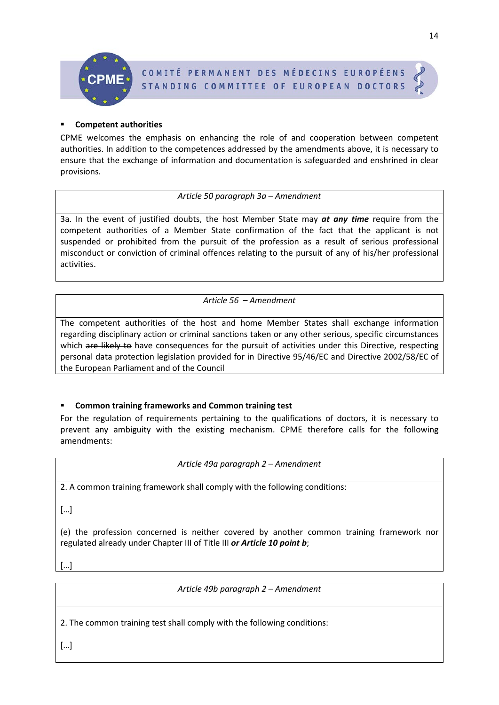# **Competent authorities**

CPME welcomes the emphasis on enhancing the role of and cooperation between competent authorities. In addition to the competences addressed by the amendments above, it is necessary to ensure that the exchange of information and documentation is safeguarded and enshrined in clear provisions.

*Article 50 paragraph 3a – Amendment*

3a. In the event of justified doubts, the host Member State may *at any time* require from the competent authorities of a Member State confirmation of the fact that the applicant is not suspended or prohibited from the pursuit of the profession as a result of serious professional misconduct or conviction of criminal offences relating to the pursuit of any of his/her professional activities.

*Article 56 – Amendment*

The competent authorities of the host and home Member States shall exchange information regarding disciplinary action or criminal sanctions taken or any other serious, specific circumstances which are likely to have consequences for the pursuit of activities under this Directive, respecting personal data protection legislation provided for in Directive 95/46/EC and Directive 2002/58/EC of the European Parliament and of the Council

# **Common training frameworks and Common training test**

For the regulation of requirements pertaining to the qualifications of doctors, it is necessary to prevent any ambiguity with the existing mechanism. CPME therefore calls for the following amendments:

*Article 49a paragraph 2 – Amendment*

2. A common training framework shall comply with the following conditions:

[…]

(e) the profession concerned is neither covered by another common training framework nor regulated already under Chapter III of Title III *or Article 10 point b*;

[…]

*Article 49b paragraph 2 – Amendment*

2. The common training test shall comply with the following conditions:

14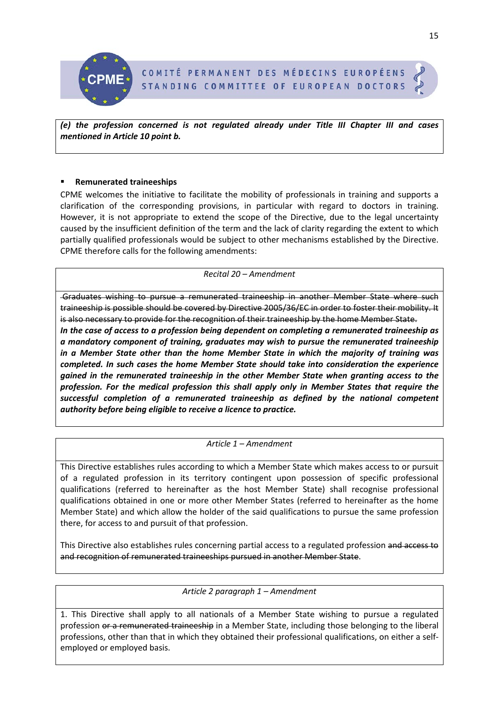

*(e) the profession concerned is not regulated already under Title III Chapter III and cases mentioned in Article 10 point b.*

# **Remunerated traineeships**

CPME welcomes the initiative to facilitate the mobility of professionals in training and supports a clarification of the corresponding provisions, in particular with regard to doctors in training. However, it is not appropriate to extend the scope of the Directive, due to the legal uncertainty caused by the insufficient definition of the term and the lack of clarity regarding the extent to which partially qualified professionals would be subject to other mechanisms established by the Directive. CPME therefore calls for the following amendments:

## *Recital 20 – Amendment*

Graduates wishing to pursue a remunerated traineeship in another Member State where such traineeship is possible should be covered by Directive 2005/36/EC in order to foster their mobility. It is also necessary to provide for the recognition of their traineeship by the home Member State. *In the case of access to a profession being dependent on completing a remunerated traineeship as a mandatory component of training, graduates may wish to pursue the remunerated traineeship in a Member State other than the home Member State in which the majority of training was completed. In such cases the home Member State should take into consideration the experience gained in the remunerated traineeship in the other Member State when granting access to the profession. For the medical profession this shall apply only in Member States that require the successful completion of a remunerated traineeship as defined by the national competent authority before being eligible to receive a licence to practice.* 

# *Article 1 – Amendment*

This Directive establishes rules according to which a Member State which makes access to or pursuit of a regulated profession in its territory contingent upon possession of specific professional qualifications (referred to hereinafter as the host Member State) shall recognise professional qualifications obtained in one or more other Member States (referred to hereinafter as the home Member State) and which allow the holder of the said qualifications to pursue the same profession there, for access to and pursuit of that profession.

This Directive also establishes rules concerning partial access to a regulated profession and access to and recognition of remunerated traineeships pursued in another Member State.

# *Article 2 paragraph 1 – Amendment*

1. This Directive shall apply to all nationals of a Member State wishing to pursue a regulated profession or a remunerated traineeship in a Member State, including those belonging to the liberal professions, other than that in which they obtained their professional qualifications, on either a selfemployed or employed basis.